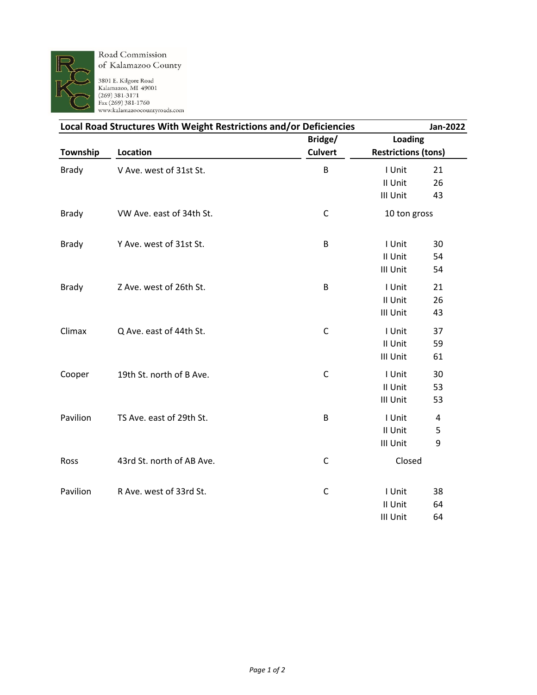

Road Commission of Kalamazoo County

3801 E. Kilgore Road<br>Kalamazoo, MI 49001<br>(269) 381-3171<br>Fax (269) 381-1760<br>www.kalamazoocountyroads.com

| Local Road Structures With Weight Restrictions and/or Deficiencies |                           |                |                                       | Jan-2022       |
|--------------------------------------------------------------------|---------------------------|----------------|---------------------------------------|----------------|
|                                                                    |                           | Bridge/        | Loading<br><b>Restrictions (tons)</b> |                |
| Township                                                           | Location                  | <b>Culvert</b> |                                       |                |
| <b>Brady</b>                                                       | V Ave. west of 31st St.   | B              | I Unit                                | 21             |
|                                                                    |                           |                | II Unit                               | 26             |
|                                                                    |                           |                | III Unit                              | 43             |
| <b>Brady</b>                                                       | VW Ave. east of 34th St.  | $\mathsf C$    | 10 ton gross                          |                |
| <b>Brady</b>                                                       | Y Ave. west of 31st St.   | B              | I Unit                                | 30             |
|                                                                    |                           |                | II Unit                               | 54             |
|                                                                    |                           |                | III Unit                              | 54             |
| <b>Brady</b>                                                       | Z Ave. west of 26th St.   | B              | I Unit                                | 21             |
|                                                                    |                           |                | II Unit                               | 26             |
|                                                                    |                           |                | III Unit                              | 43             |
| Climax                                                             | Q Ave. east of 44th St.   | $\mathsf{C}$   | I Unit                                | 37             |
|                                                                    |                           |                | II Unit                               | 59             |
|                                                                    |                           |                | III Unit                              | 61             |
| Cooper                                                             | 19th St. north of B Ave.  | $\mathsf{C}$   | I Unit                                | 30             |
|                                                                    |                           |                | II Unit                               | 53             |
|                                                                    |                           |                | III Unit                              | 53             |
| Pavilion                                                           | TS Ave. east of 29th St.  | B              | I Unit                                | $\overline{4}$ |
|                                                                    |                           |                | II Unit                               | 5              |
|                                                                    |                           |                | III Unit                              | 9              |
| Ross                                                               | 43rd St. north of AB Ave. | $\mathsf{C}$   | Closed                                |                |
| Pavilion                                                           | R Ave. west of 33rd St.   | $\mathsf{C}$   | I Unit                                | 38             |
|                                                                    |                           |                | II Unit                               | 64             |
|                                                                    |                           |                | III Unit                              | 64             |